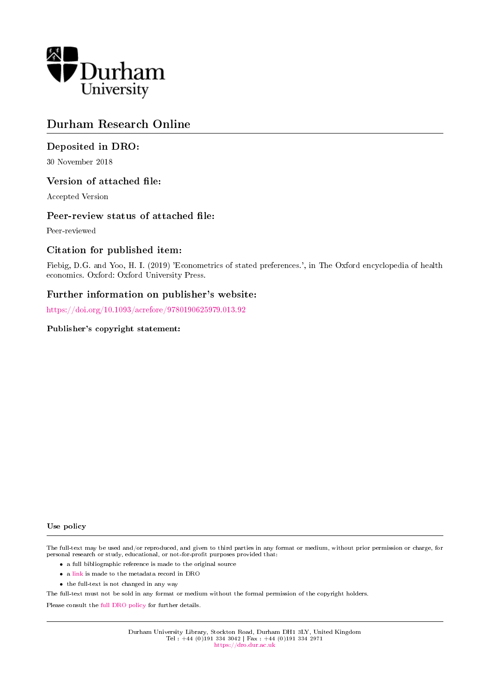

# Durham Research Online

### Deposited in DRO:

30 November 2018

### Version of attached file:

Accepted Version

### Peer-review status of attached file:

Peer-reviewed

### Citation for published item:

Fiebig, D.G. and Yoo, H. I. (2019) 'Econometrics of stated preferences.', in The Oxford encyclopedia of health economics. Oxford: Oxford University Press.

### Further information on publisher's website:

<https://doi.org/10.1093/acrefore/9780190625979.013.92>

#### Publisher's copyright statement:

#### Use policy

The full-text may be used and/or reproduced, and given to third parties in any format or medium, without prior permission or charge, for personal research or study, educational, or not-for-profit purposes provided that:

- a full bibliographic reference is made to the original source
- a [link](http://dro.dur.ac.uk/26892/) is made to the metadata record in DRO
- the full-text is not changed in any way

The full-text must not be sold in any format or medium without the formal permission of the copyright holders.

Please consult the [full DRO policy](https://dro.dur.ac.uk/policies/usepolicy.pdf) for further details.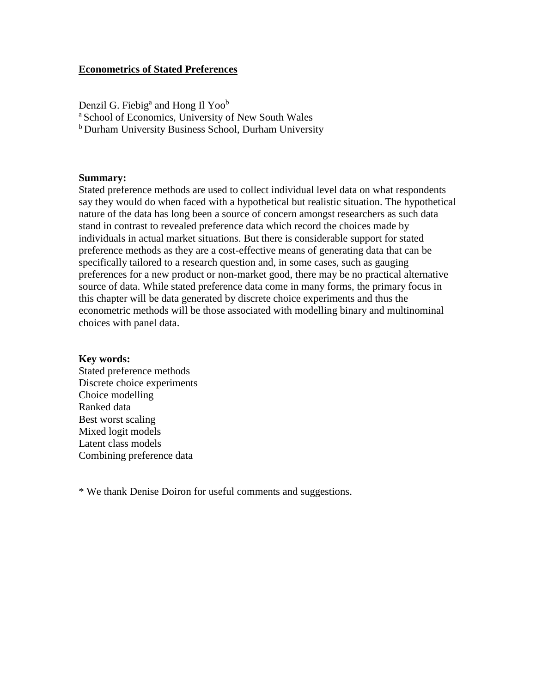### **Econometrics of Stated Preferences**

Denzil G. Fiebig<sup>a</sup> and Hong Il Yoo<sup>b</sup> <sup>a</sup> School of Economics, University of New South Wales <sup>b</sup> Durham University Business School, Durham University

#### **Summary:**

Stated preference methods are used to collect individual level data on what respondents say they would do when faced with a hypothetical but realistic situation. The hypothetical nature of the data has long been a source of concern amongst researchers as such data stand in contrast to revealed preference data which record the choices made by individuals in actual market situations. But there is considerable support for stated preference methods as they are a cost-effective means of generating data that can be specifically tailored to a research question and, in some cases, such as gauging preferences for a new product or non-market good, there may be no practical alternative source of data. While stated preference data come in many forms, the primary focus in this chapter will be data generated by discrete choice experiments and thus the econometric methods will be those associated with modelling binary and multinominal choices with panel data.

#### **Key words:**

Stated preference methods Discrete choice experiments Choice modelling Ranked data Best worst scaling Mixed logit models Latent class models Combining preference data

\* We thank Denise Doiron for useful comments and suggestions.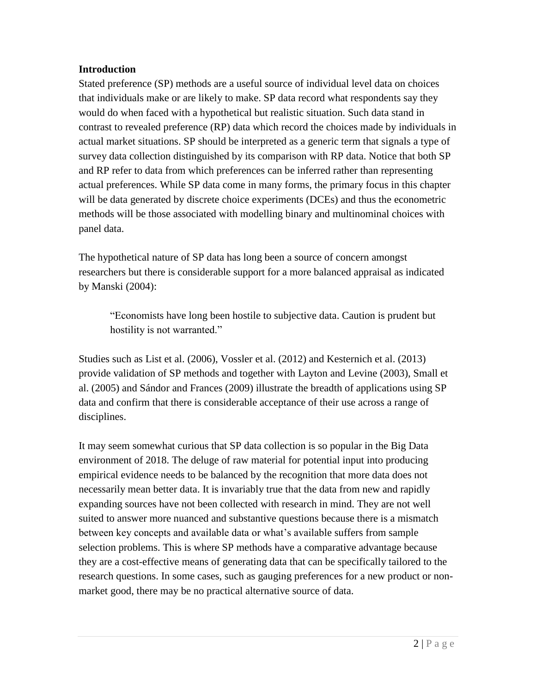# **Introduction**

Stated preference (SP) methods are a useful source of individual level data on choices that individuals make or are likely to make. SP data record what respondents say they would do when faced with a hypothetical but realistic situation. Such data stand in contrast to revealed preference (RP) data which record the choices made by individuals in actual market situations. SP should be interpreted as a generic term that signals a type of survey data collection distinguished by its comparison with RP data. Notice that both SP and RP refer to data from which preferences can be inferred rather than representing actual preferences. While SP data come in many forms, the primary focus in this chapter will be data generated by discrete choice experiments (DCEs) and thus the econometric methods will be those associated with modelling binary and multinominal choices with panel data.

The hypothetical nature of SP data has long been a source of concern amongst researchers but there is considerable support for a more balanced appraisal as indicated by Manski (2004):

"Economists have long been hostile to subjective data. Caution is prudent but hostility is not warranted."

Studies such as List et al. (2006), Vossler et al. (2012) and Kesternich et al. (2013) provide validation of SP methods and together with Layton and Levine (2003), Small et al. (2005) and Sándor and Frances (2009) illustrate the breadth of applications using SP data and confirm that there is considerable acceptance of their use across a range of disciplines.

It may seem somewhat curious that SP data collection is so popular in the Big Data environment of 2018. The deluge of raw material for potential input into producing empirical evidence needs to be balanced by the recognition that more data does not necessarily mean better data. It is invariably true that the data from new and rapidly expanding sources have not been collected with research in mind. They are not well suited to answer more nuanced and substantive questions because there is a mismatch between key concepts and available data or what's available suffers from sample selection problems. This is where SP methods have a comparative advantage because they are a cost-effective means of generating data that can be specifically tailored to the research questions. In some cases, such as gauging preferences for a new product or nonmarket good, there may be no practical alternative source of data.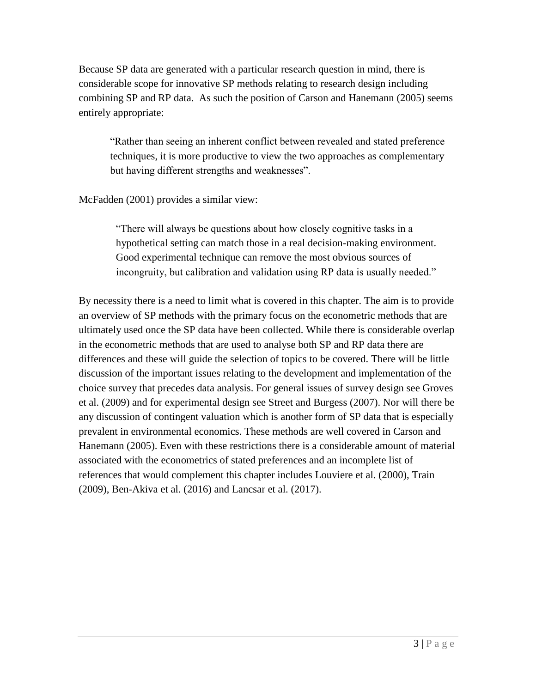Because SP data are generated with a particular research question in mind, there is considerable scope for innovative SP methods relating to research design including combining SP and RP data. As such the position of Carson and Hanemann (2005) seems entirely appropriate:

"Rather than seeing an inherent conflict between revealed and stated preference techniques, it is more productive to view the two approaches as complementary but having different strengths and weaknesses".

McFadden (2001) provides a similar view:

"There will always be questions about how closely cognitive tasks in a hypothetical setting can match those in a real decision-making environment. Good experimental technique can remove the most obvious sources of incongruity, but calibration and validation using RP data is usually needed."

By necessity there is a need to limit what is covered in this chapter. The aim is to provide an overview of SP methods with the primary focus on the econometric methods that are ultimately used once the SP data have been collected. While there is considerable overlap in the econometric methods that are used to analyse both SP and RP data there are differences and these will guide the selection of topics to be covered. There will be little discussion of the important issues relating to the development and implementation of the choice survey that precedes data analysis. For general issues of survey design see Groves et al. (2009) and for experimental design see Street and Burgess (2007). Nor will there be any discussion of contingent valuation which is another form of SP data that is especially prevalent in environmental economics. These methods are well covered in Carson and Hanemann (2005). Even with these restrictions there is a considerable amount of material associated with the econometrics of stated preferences and an incomplete list of references that would complement this chapter includes Louviere et al. (2000), Train (2009), Ben-Akiva et al. (2016) and Lancsar et al. (2017).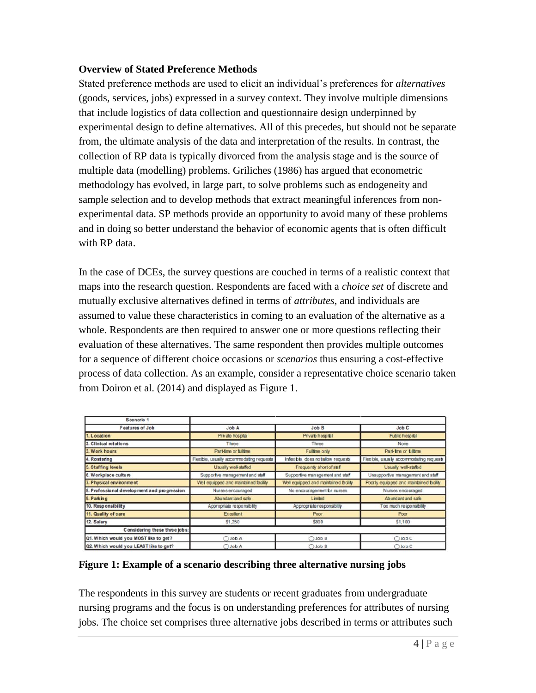# **Overview of Stated Preference Methods**

Stated preference methods are used to elicit an individual's preferences for *alternatives* (goods, services, jobs) expressed in a survey context. They involve multiple dimensions that include logistics of data collection and questionnaire design underpinned by experimental design to define alternatives. All of this precedes, but should not be separate from, the ultimate analysis of the data and interpretation of the results. In contrast, the collection of RP data is typically divorced from the analysis stage and is the source of multiple data (modelling) problems. Griliches (1986) has argued that econometric methodology has evolved, in large part, to solve problems such as endogeneity and sample selection and to develop methods that extract meaningful inferences from nonexperimental data. SP methods provide an opportunity to avoid many of these problems and in doing so better understand the behavior of economic agents that is often difficult with RP data.

In the case of DCEs, the survey questions are couched in terms of a realistic context that maps into the research question. Respondents are faced with a *choice set* of discrete and mutually exclusive alternatives defined in terms of *attributes*, and individuals are assumed to value these characteristics in coming to an evaluation of the alternative as a whole. Respondents are then required to answer one or more questions reflecting their evaluation of these alternatives. The same respondent then provides multiple outcomes for a sequence of different choice occasions or *scenarios* thus ensuring a cost-effective process of data collection. As an example, consider a representative choice scenario taken from Doiron et al. (2014) and displayed as Figure 1.

| Scenario 1                                  |                                          |                                     |                                          |
|---------------------------------------------|------------------------------------------|-------------------------------------|------------------------------------------|
| <b>Features of Job</b>                      | Job A                                    | Job B                               | Job C                                    |
| 1. Location                                 | Private hospital                         | Private hospital                    | Public hospital                          |
| 2. Clinical rotations                       | Three                                    | Three                               | None                                     |
| 3. Work hours                               | Part-time or fulltime                    | Fulltime only                       | Part-tme or fultime                      |
| 4. Rostering                                | Flexible, usually accommodating requests | Infex bib, does not allow requests  | Flexible, usually accommodating requests |
| 5. Staffing levels                          | Usually well-staffed                     | Frequently short of staf            | Usually well-staffed                     |
| 6. Workplace culture                        | Supportve management and staff           | Supportive management and staff     | Unsupportive management and staff        |
| 7. Physical environment                     | Well equipped and maintained facility    | Well equipped and maintained bolity | Poorly equipped and maintained boilty    |
| 8. Professional development and progression | Nurses encouraged                        | No encouragement br nurses          | Nurses encouraged                        |
| 9. Parking                                  | Abundantand safe                         | Limited                             | Abundant and safe                        |
| 10. Responsibility                          | Appropriate responsibility               | Appropriate responsibility          | Too much responsibility                  |
| 11. Quality of care                         | <b>Excellent</b>                         | Poor                                | Poor                                     |
| 12. Salary                                  | \$1,250                                  | \$800                               | \$1,100                                  |
| Considering these three jobs:               |                                          |                                     |                                          |
| Q1. Which would you MOST like to get?       | △ Job A                                  | ○ Job B                             | $O$ Job C                                |
| Q2. Which would you LEAST like to get?      | A dol C                                  | B dol C                             | $O$ Job C                                |

# **Figure 1: Example of a scenario describing three alternative nursing jobs**

The respondents in this survey are students or recent graduates from undergraduate nursing programs and the focus is on understanding preferences for attributes of nursing jobs. The choice set comprises three alternative jobs described in terms or attributes such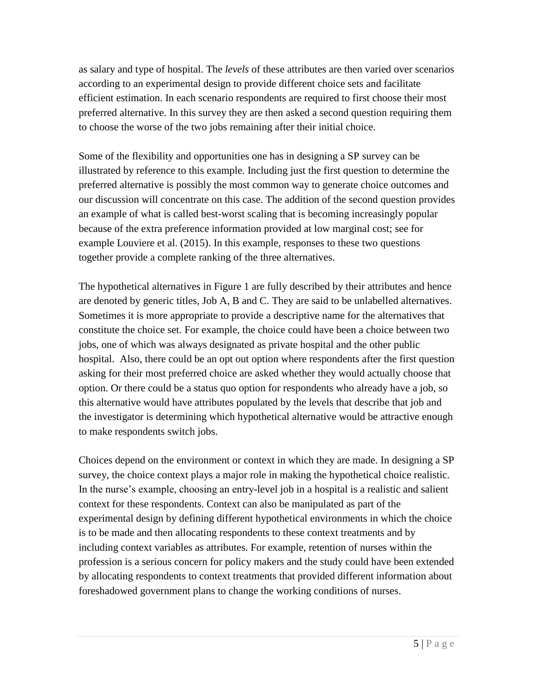as salary and type of hospital. The *levels* of these attributes are then varied over scenarios according to an experimental design to provide different choice sets and facilitate efficient estimation. In each scenario respondents are required to first choose their most preferred alternative. In this survey they are then asked a second question requiring them to choose the worse of the two jobs remaining after their initial choice.

Some of the flexibility and opportunities one has in designing a SP survey can be illustrated by reference to this example. Including just the first question to determine the preferred alternative is possibly the most common way to generate choice outcomes and our discussion will concentrate on this case. The addition of the second question provides an example of what is called best-worst scaling that is becoming increasingly popular because of the extra preference information provided at low marginal cost; see for example Louviere et al. (2015). In this example, responses to these two questions together provide a complete ranking of the three alternatives.

The hypothetical alternatives in Figure 1 are fully described by their attributes and hence are denoted by generic titles, Job A, B and C. They are said to be unlabelled alternatives. Sometimes it is more appropriate to provide a descriptive name for the alternatives that constitute the choice set. For example, the choice could have been a choice between two jobs, one of which was always designated as private hospital and the other public hospital. Also, there could be an opt out option where respondents after the first question asking for their most preferred choice are asked whether they would actually choose that option. Or there could be a status quo option for respondents who already have a job, so this alternative would have attributes populated by the levels that describe that job and the investigator is determining which hypothetical alternative would be attractive enough to make respondents switch jobs.

Choices depend on the environment or context in which they are made. In designing a SP survey, the choice context plays a major role in making the hypothetical choice realistic. In the nurse's example, choosing an entry-level job in a hospital is a realistic and salient context for these respondents. Context can also be manipulated as part of the experimental design by defining different hypothetical environments in which the choice is to be made and then allocating respondents to these context treatments and by including context variables as attributes. For example, retention of nurses within the profession is a serious concern for policy makers and the study could have been extended by allocating respondents to context treatments that provided different information about foreshadowed government plans to change the working conditions of nurses.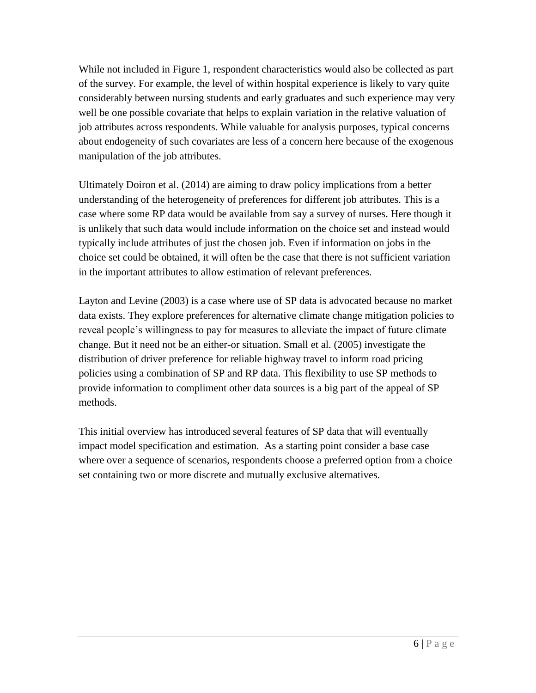While not included in Figure 1, respondent characteristics would also be collected as part of the survey. For example, the level of within hospital experience is likely to vary quite considerably between nursing students and early graduates and such experience may very well be one possible covariate that helps to explain variation in the relative valuation of job attributes across respondents. While valuable for analysis purposes, typical concerns about endogeneity of such covariates are less of a concern here because of the exogenous manipulation of the job attributes.

Ultimately Doiron et al. (2014) are aiming to draw policy implications from a better understanding of the heterogeneity of preferences for different job attributes. This is a case where some RP data would be available from say a survey of nurses. Here though it is unlikely that such data would include information on the choice set and instead would typically include attributes of just the chosen job. Even if information on jobs in the choice set could be obtained, it will often be the case that there is not sufficient variation in the important attributes to allow estimation of relevant preferences.

Layton and Levine (2003) is a case where use of SP data is advocated because no market data exists. They explore preferences for alternative climate change mitigation policies to reveal people's willingness to pay for measures to alleviate the impact of future climate change. But it need not be an either-or situation. Small et al. (2005) investigate the distribution of driver preference for reliable highway travel to inform road pricing policies using a combination of SP and RP data. This flexibility to use SP methods to provide information to compliment other data sources is a big part of the appeal of SP methods.

This initial overview has introduced several features of SP data that will eventually impact model specification and estimation. As a starting point consider a base case where over a sequence of scenarios, respondents choose a preferred option from a choice set containing two or more discrete and mutually exclusive alternatives.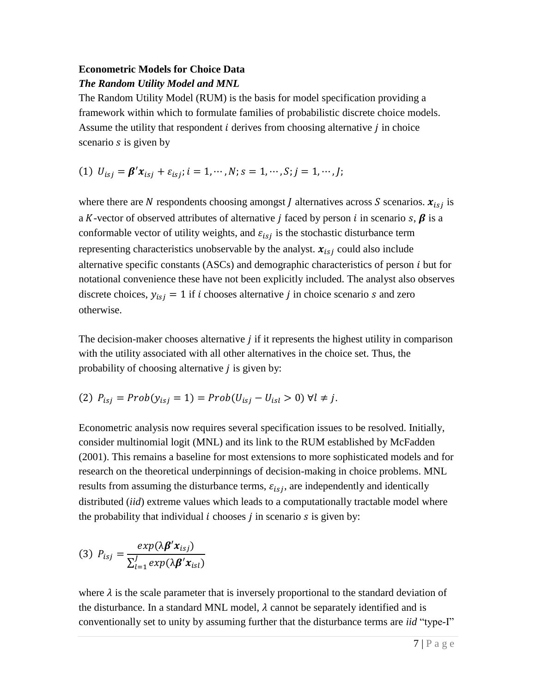# **Econometric Models for Choice Data**

# *The Random Utility Model and MNL*

The Random Utility Model (RUM) is the basis for model specification providing a framework within which to formulate families of probabilistic discrete choice models. Assume the utility that respondent  $i$  derives from choosing alternative  $j$  in choice scenario  $s$  is given by

(1)  $U_{isj} = \beta' x_{isj} + \varepsilon_{isj}; i = 1, \cdots, N; s = 1, \cdots, S; j = 1, \cdots, J;$ 

where there are N respondents choosing amongst *J* alternatives across *S* scenarios.  $x_{i s j}$  is a K-vector of observed attributes of alternative *j* faced by person *i* in scenario *s*,  $\beta$  is a conformable vector of utility weights, and  $\varepsilon_{isj}$  is the stochastic disturbance term representing characteristics unobservable by the analyst.  $x_{isj}$  could also include alternative specific constants  $(ASCs)$  and demographic characteristics of person  $i$  but for notational convenience these have not been explicitly included. The analyst also observes discrete choices,  $y_{isj} = 1$  if *i* chooses alternative *j* in choice scenario *s* and zero otherwise.

The decision-maker chooses alternative  $\dot{i}$  if it represents the highest utility in comparison with the utility associated with all other alternatives in the choice set. Thus, the probability of choosing alternative  $j$  is given by:

(2) 
$$
P_{isj} = Prob(y_{isj} = 1) = Prob(U_{isj} - U_{isl} > 0) \forall l \neq j.
$$

Econometric analysis now requires several specification issues to be resolved. Initially, consider multinomial logit (MNL) and its link to the RUM established by McFadden (2001). This remains a baseline for most extensions to more sophisticated models and for research on the theoretical underpinnings of decision-making in choice problems. MNL results from assuming the disturbance terms,  $\varepsilon_{i,j}$ , are independently and identically distributed (*iid*) extreme values which leads to a computationally tractable model where the probability that individual  $i$  chooses  $j$  in scenario  $s$  is given by:

(3) 
$$
P_{isj} = \frac{exp(\lambda \beta' x_{isj})}{\sum_{l=1}^{J} exp(\lambda \beta' x_{isl})}
$$

where  $\lambda$  is the scale parameter that is inversely proportional to the standard deviation of the disturbance. In a standard MNL model,  $\lambda$  cannot be separately identified and is conventionally set to unity by assuming further that the disturbance terms are *iid* "type-I"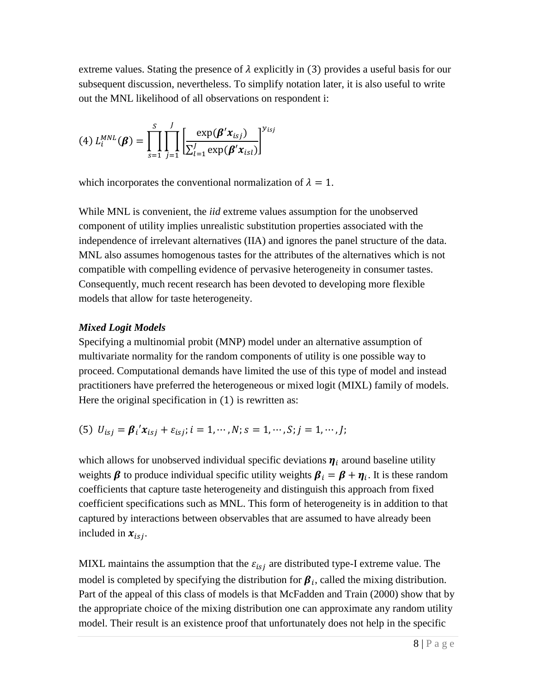extreme values. Stating the presence of  $\lambda$  explicitly in (3) provides a useful basis for our subsequent discussion, nevertheless. To simplify notation later, it is also useful to write out the MNL likelihood of all observations on respondent i:

(4) 
$$
L_i^{MNL}(\beta) = \prod_{s=1}^{S} \prod_{j=1}^{J} \left[ \frac{\exp(\beta' x_{isj})}{\sum_{l=1}^{J} \exp(\beta' x_{isl})} \right]^{y_{isj}}
$$

which incorporates the conventional normalization of  $\lambda = 1$ .

While MNL is convenient, the *iid* extreme values assumption for the unobserved component of utility implies unrealistic substitution properties associated with the independence of irrelevant alternatives (IIA) and ignores the panel structure of the data. MNL also assumes homogenous tastes for the attributes of the alternatives which is not compatible with compelling evidence of pervasive heterogeneity in consumer tastes. Consequently, much recent research has been devoted to developing more flexible models that allow for taste heterogeneity.

# *Mixed Logit Models*

Specifying a multinomial probit (MNP) model under an alternative assumption of multivariate normality for the random components of utility is one possible way to proceed. Computational demands have limited the use of this type of model and instead practitioners have preferred the heterogeneous or mixed logit (MIXL) family of models. Here the original specification in  $(1)$  is rewritten as:

(5) 
$$
U_{isj} = \beta_i' x_{isj} + \varepsilon_{isj}; i = 1, ..., N; s = 1, ..., S; j = 1, ..., J;
$$

which allows for unobserved individual specific deviations  $\eta_i$  around baseline utility weights  $\beta$  to produce individual specific utility weights  $\beta_i = \beta + \eta_i$ . It is these random coefficients that capture taste heterogeneity and distinguish this approach from fixed coefficient specifications such as MNL. This form of heterogeneity is in addition to that captured by interactions between observables that are assumed to have already been included in  $x_{isj}$ .

MIXL maintains the assumption that the  $\varepsilon_{i,j}$  are distributed type-I extreme value. The model is completed by specifying the distribution for  $\beta_i$ , called the mixing distribution. Part of the appeal of this class of models is that McFadden and Train (2000) show that by the appropriate choice of the mixing distribution one can approximate any random utility model. Their result is an existence proof that unfortunately does not help in the specific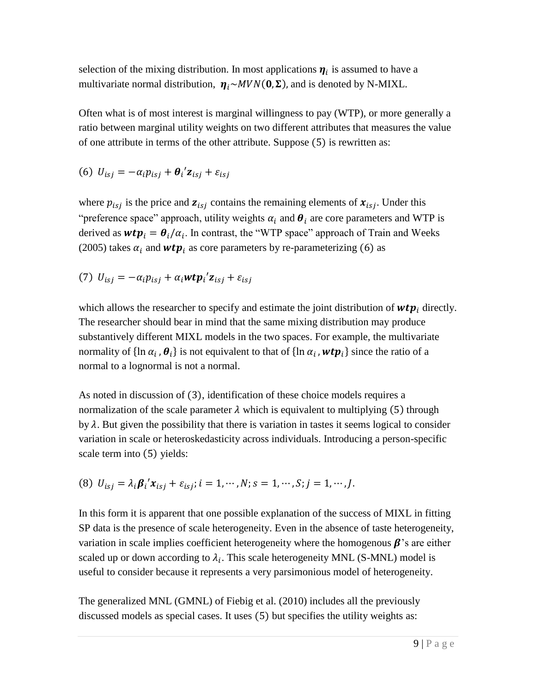selection of the mixing distribution. In most applications  $\eta_i$  is assumed to have a multivariate normal distribution,  $\eta_i \sim MVN(0, \Sigma)$ , and is denoted by N-MIXL.

Often what is of most interest is marginal willingness to pay (WTP), or more generally a ratio between marginal utility weights on two different attributes that measures the value of one attribute in terms of the other attribute. Suppose (5) is rewritten as:

$$
(6) U_{isj} = -\alpha_i p_{isj} + \theta_i' \mathbf{z}_{isj} + \varepsilon_{isj}
$$

where  $p_{isj}$  is the price and  $z_{isj}$  contains the remaining elements of  $x_{isj}$ . Under this "preference space" approach, utility weights  $\alpha_i$  and  $\theta_i$  are core parameters and WTP is derived as  $wtp_i = \theta_i/\alpha_i$ . In contrast, the "WTP space" approach of Train and Weeks (2005) takes  $\alpha_i$  and **wtp**<sub>i</sub> as core parameters by re-parameterizing (6) as

(7) 
$$
U_{isj} = -\alpha_i p_{isj} + \alpha_i \mathbf{w} \mathbf{t} \mathbf{p}_i' \mathbf{z}_{isj} + \varepsilon_{isj}
$$

which allows the researcher to specify and estimate the joint distribution of  $wtp_i$  directly. The researcher should bear in mind that the same mixing distribution may produce substantively different MIXL models in the two spaces. For example, the multivariate normality of  $\{\ln \alpha_i$ ,  $\theta_i\}$  is not equivalent to that of  $\{\ln \alpha_i$ ,  $wtp_i\}$  since the ratio of a normal to a lognormal is not a normal.

As noted in discussion of (3), identification of these choice models requires a normalization of the scale parameter  $\lambda$  which is equivalent to multiplying (5) through by  $\lambda$ . But given the possibility that there is variation in tastes it seems logical to consider variation in scale or heteroskedasticity across individuals. Introducing a person-specific scale term into (5) yields:

(8) 
$$
U_{isj} = \lambda_i \beta_i' x_{isj} + \varepsilon_{isj}; i = 1, ..., N; s = 1, ..., S; j = 1, ..., J.
$$

In this form it is apparent that one possible explanation of the success of MIXL in fitting SP data is the presence of scale heterogeneity. Even in the absence of taste heterogeneity, variation in scale implies coefficient heterogeneity where the homogenous  $\beta$ 's are either scaled up or down according to  $\lambda_i$ . This scale heterogeneity MNL (S-MNL) model is useful to consider because it represents a very parsimonious model of heterogeneity.

The generalized MNL (GMNL) of Fiebig et al. (2010) includes all the previously discussed models as special cases. It uses (5) but specifies the utility weights as: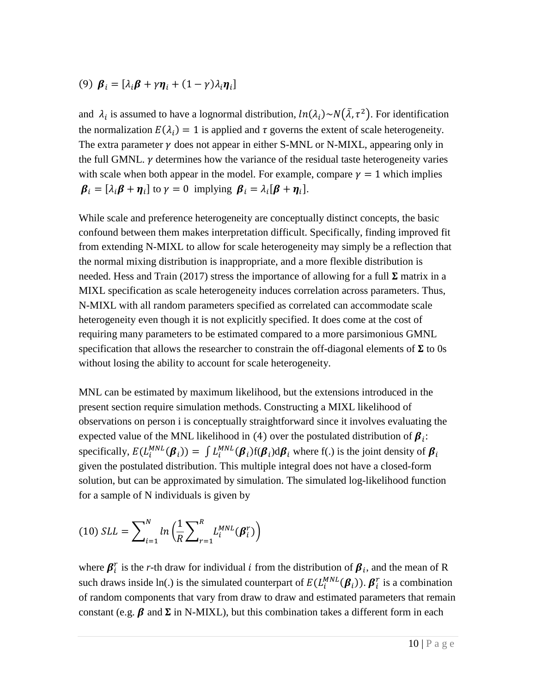(9) 
$$
\boldsymbol{\beta}_i = [\lambda_i \boldsymbol{\beta} + \gamma \boldsymbol{\eta}_i + (1 - \gamma)\lambda_i \boldsymbol{\eta}_i]
$$

and  $\lambda_i$  is assumed to have a lognormal distribution,  $ln(\lambda_i) \sim N(\bar{\lambda}, \tau^2)$ . For identification the normalization  $E(\lambda_i) = 1$  is applied and  $\tau$  governs the extent of scale heterogeneity. The extra parameter  $\gamma$  does not appear in either S-MNL or N-MIXL, appearing only in the full GMNL.  $\gamma$  determines how the variance of the residual taste heterogeneity varies with scale when both appear in the model. For example, compare  $\gamma = 1$  which implies  $\boldsymbol{\beta}_i = [\lambda_i \boldsymbol{\beta} + \boldsymbol{\eta}_i]$  to  $\gamma = 0$  implying  $\boldsymbol{\beta}_i = \lambda_i [\boldsymbol{\beta} + \boldsymbol{\eta}_i].$ 

While scale and preference heterogeneity are conceptually distinct concepts, the basic confound between them makes interpretation difficult. Specifically, finding improved fit from extending N-MIXL to allow for scale heterogeneity may simply be a reflection that the normal mixing distribution is inappropriate, and a more flexible distribution is needed. Hess and Train (2017) stress the importance of allowing for a full  $\Sigma$  matrix in a MIXL specification as scale heterogeneity induces correlation across parameters. Thus, N-MIXL with all random parameters specified as correlated can accommodate scale heterogeneity even though it is not explicitly specified. It does come at the cost of requiring many parameters to be estimated compared to a more parsimonious GMNL specification that allows the researcher to constrain the off-diagonal elements of  $\Sigma$  to 0s without losing the ability to account for scale heterogeneity.

MNL can be estimated by maximum likelihood, but the extensions introduced in the present section require simulation methods. Constructing a MIXL likelihood of observations on person i is conceptually straightforward since it involves evaluating the expected value of the MNL likelihood in (4) over the postulated distribution of  $\beta_i$ : specifically,  $E(L_i^{MNL}(\beta_i)) = \int L_i^{MNL}(\beta_i) f(\beta_i) d\beta_i$  where f(.) is the joint density of  $\beta_i$ given the postulated distribution. This multiple integral does not have a closed-form solution, but can be approximated by simulation. The simulated log-likelihood function for a sample of N individuals is given by

$$
(10) SLL = \sum\nolimits_{i=1}^{N} ln \left( \frac{1}{R} \sum\nolimits_{r=1}^{R} L_i^{MNL}(\boldsymbol{\beta}_i^r) \right)
$$

where  $\beta_i^r$  is the *r*-th draw for individual *i* from the distribution of  $\beta_i$ , and the mean of R such draws inside ln(.) is the simulated counterpart of  $E(L_i^{MNL}(\beta_i))$ .  $\beta_i^r$  is a combination of random components that vary from draw to draw and estimated parameters that remain constant (e.g.  $\beta$  and  $\Sigma$  in N-MIXL), but this combination takes a different form in each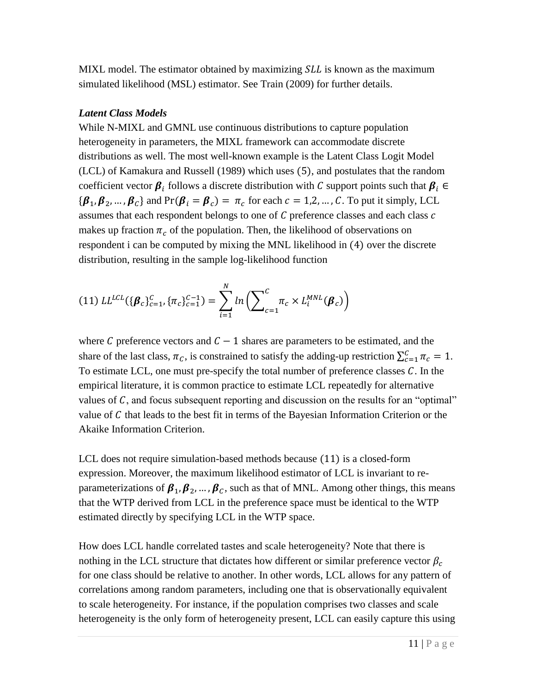MIXL model. The estimator obtained by maximizing  $SLL$  is known as the maximum simulated likelihood (MSL) estimator. See Train (2009) for further details.

# *Latent Class Models*

While N-MIXL and GMNL use continuous distributions to capture population heterogeneity in parameters, the MIXL framework can accommodate discrete distributions as well. The most well-known example is the Latent Class Logit Model (LCL) of Kamakura and Russell (1989) which uses (5), and postulates that the random coefficient vector  $\beta_i$  follows a discrete distribution with C support points such that  $\beta_i \in$  ${\beta_1, \beta_2, ..., \beta_{\mathcal{C}}}$  and Pr( $\beta_i = \beta_{\mathcal{C}}$ ) =  $\pi_{\mathcal{C}}$  for each  $\mathcal{C} = 1, 2, ..., \mathcal{C}$ . To put it simply, LCL assumes that each respondent belongs to one of  $C$  preference classes and each class  $c$ makes up fraction  $\pi_c$  of the population. Then, the likelihood of observations on respondent i can be computed by mixing the MNL likelihood in (4) over the discrete distribution, resulting in the sample log-likelihood function

(11) 
$$
LL^{LCL}(\{\beta_c\}_{c=1}^C, \{\pi_c\}_{c=1}^{C-1}) = \sum_{i=1}^N ln\left(\sum_{c=1}^C \pi_c \times L_i^{MNL}(\beta_c)\right)
$$

where C preference vectors and  $C - 1$  shares are parameters to be estimated, and the share of the last class,  $\pi_c$ , is constrained to satisfy the adding-up restriction  $\sum_{c=1}^{C} \pi_c = 1$ . To estimate LCL, one must pre-specify the total number of preference classes  $C$ . In the empirical literature, it is common practice to estimate LCL repeatedly for alternative values of  $C$ , and focus subsequent reporting and discussion on the results for an "optimal" value of  $C$  that leads to the best fit in terms of the Bayesian Information Criterion or the Akaike Information Criterion.

LCL does not require simulation-based methods because (11) is a closed-form expression. Moreover, the maximum likelihood estimator of LCL is invariant to reparameterizations of  $\beta_1, \beta_2, ..., \beta_c$ , such as that of MNL. Among other things, this means that the WTP derived from LCL in the preference space must be identical to the WTP estimated directly by specifying LCL in the WTP space.

How does LCL handle correlated tastes and scale heterogeneity? Note that there is nothing in the LCL structure that dictates how different or similar preference vector  $\beta_c$ for one class should be relative to another. In other words, LCL allows for any pattern of correlations among random parameters, including one that is observationally equivalent to scale heterogeneity. For instance, if the population comprises two classes and scale heterogeneity is the only form of heterogeneity present, LCL can easily capture this using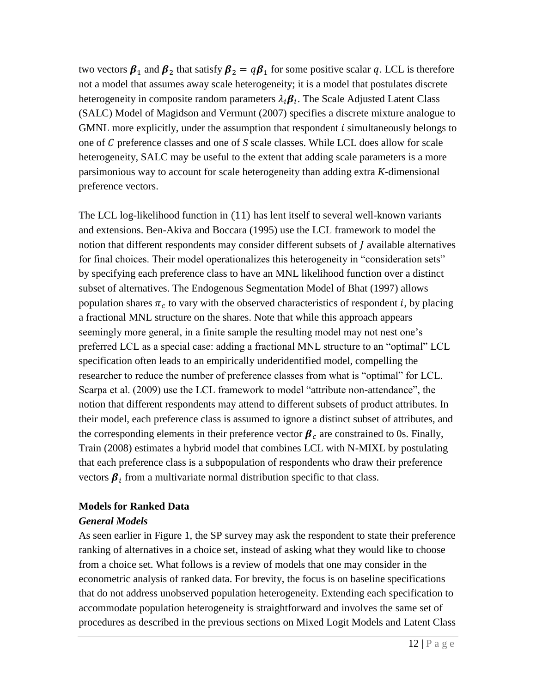two vectors  $\beta_1$  and  $\beta_2$  that satisfy  $\beta_2 = q\beta_1$  for some positive scalar q. LCL is therefore not a model that assumes away scale heterogeneity; it is a model that postulates discrete heterogeneity in composite random parameters  $\lambda_i \boldsymbol{\beta}_i$ . The Scale Adjusted Latent Class (SALC) Model of Magidson and Vermunt (2007) specifies a discrete mixture analogue to GMNL more explicitly, under the assumption that respondent  $i$  simultaneously belongs to one of C preference classes and one of S scale classes. While LCL does allow for scale heterogeneity, SALC may be useful to the extent that adding scale parameters is a more parsimonious way to account for scale heterogeneity than adding extra *K*-dimensional preference vectors.

The LCL log-likelihood function in (11) has lent itself to several well-known variants and extensions. Ben-Akiva and Boccara (1995) use the LCL framework to model the notion that different respondents may consider different subsets of  *available alternatives* for final choices. Their model operationalizes this heterogeneity in "consideration sets" by specifying each preference class to have an MNL likelihood function over a distinct subset of alternatives. The Endogenous Segmentation Model of Bhat (1997) allows population shares  $\pi_c$  to vary with the observed characteristics of respondent *i*, by placing a fractional MNL structure on the shares. Note that while this approach appears seemingly more general, in a finite sample the resulting model may not nest one's preferred LCL as a special case: adding a fractional MNL structure to an "optimal" LCL specification often leads to an empirically underidentified model, compelling the researcher to reduce the number of preference classes from what is "optimal" for LCL. Scarpa et al. (2009) use the LCL framework to model "attribute non-attendance", the notion that different respondents may attend to different subsets of product attributes. In their model, each preference class is assumed to ignore a distinct subset of attributes, and the corresponding elements in their preference vector  $\beta_c$  are constrained to 0s. Finally, Train (2008) estimates a hybrid model that combines LCL with N-MIXL by postulating that each preference class is a subpopulation of respondents who draw their preference vectors  $\beta_i$  from a multivariate normal distribution specific to that class.

# **Models for Ranked Data**

# *General Models*

As seen earlier in Figure 1, the SP survey may ask the respondent to state their preference ranking of alternatives in a choice set, instead of asking what they would like to choose from a choice set. What follows is a review of models that one may consider in the econometric analysis of ranked data. For brevity, the focus is on baseline specifications that do not address unobserved population heterogeneity. Extending each specification to accommodate population heterogeneity is straightforward and involves the same set of procedures as described in the previous sections on Mixed Logit Models and Latent Class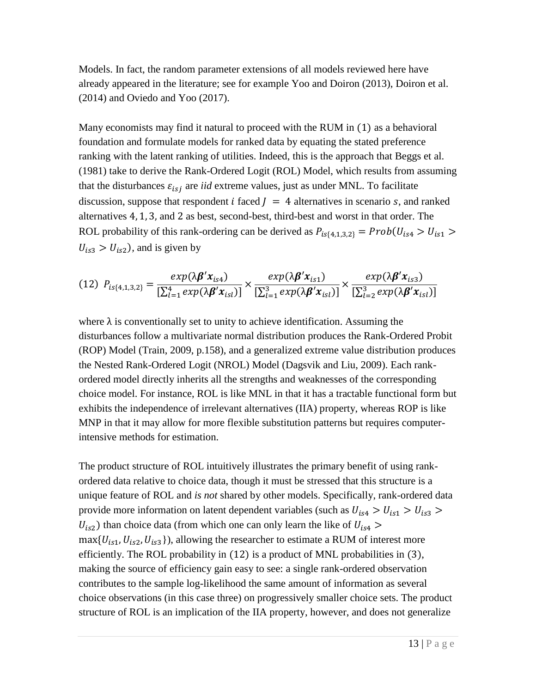Models. In fact, the random parameter extensions of all models reviewed here have already appeared in the literature; see for example Yoo and Doiron (2013), Doiron et al. (2014) and Oviedo and Yoo (2017).

Many economists may find it natural to proceed with the RUM in (1) as a behavioral foundation and formulate models for ranked data by equating the stated preference ranking with the latent ranking of utilities. Indeed, this is the approach that Beggs et al. (1981) take to derive the Rank-Ordered Logit (ROL) Model, which results from assuming that the disturbances  $\varepsilon_{isj}$  are *iid* extreme values, just as under MNL. To facilitate discussion, suppose that respondent *i* faced  $J = 4$  alternatives in scenario *s*, and ranked alternatives 4, 1, 3, and 2 as best, second-best, third-best and worst in that order. The ROL probability of this rank-ordering can be derived as  $P_{is{4,1,3,2}} = Prob(U_{is4} > U_{is1})$  $U_{is3} > U_{is2}$ ), and is given by

$$
(12) Pis{4,1,3,2} = \frac{exp(\lambda \beta' xis4)}{\left[\sum_{l=1}^{4} exp(\lambda \beta' xisl)\right]} \times \frac{exp(\lambda \beta' xis1)}{\left[\sum_{l=1}^{3} exp(\lambda \beta' xisl)\right]} \times \frac{exp(\lambda \beta' xis3)}{\left[\sum_{l=2}^{3} exp(\lambda \beta' xisl)\right]}
$$

where  $\lambda$  is conventionally set to unity to achieve identification. Assuming the disturbances follow a multivariate normal distribution produces the Rank-Ordered Probit (ROP) Model (Train, 2009, p.158), and a generalized extreme value distribution produces the Nested Rank-Ordered Logit (NROL) Model (Dagsvik and Liu, 2009). Each rankordered model directly inherits all the strengths and weaknesses of the corresponding choice model. For instance, ROL is like MNL in that it has a tractable functional form but exhibits the independence of irrelevant alternatives (IIA) property, whereas ROP is like MNP in that it may allow for more flexible substitution patterns but requires computerintensive methods for estimation.

The product structure of ROL intuitively illustrates the primary benefit of using rankordered data relative to choice data, though it must be stressed that this structure is a unique feature of ROL and *is not* shared by other models. Specifically, rank-ordered data provide more information on latent dependent variables (such as  $U_{1.54} > U_{1.51} > U_{1.53} >$  $U_{is2}$ ) than choice data (from which one can only learn the like of  $U_{is4}$  >  $max\{U_{is1}, U_{is2}, U_{is3}\}\)$ , allowing the researcher to estimate a RUM of interest more efficiently. The ROL probability in (12) is a product of MNL probabilities in (3), making the source of efficiency gain easy to see: a single rank-ordered observation contributes to the sample log-likelihood the same amount of information as several choice observations (in this case three) on progressively smaller choice sets. The product structure of ROL is an implication of the IIA property, however, and does not generalize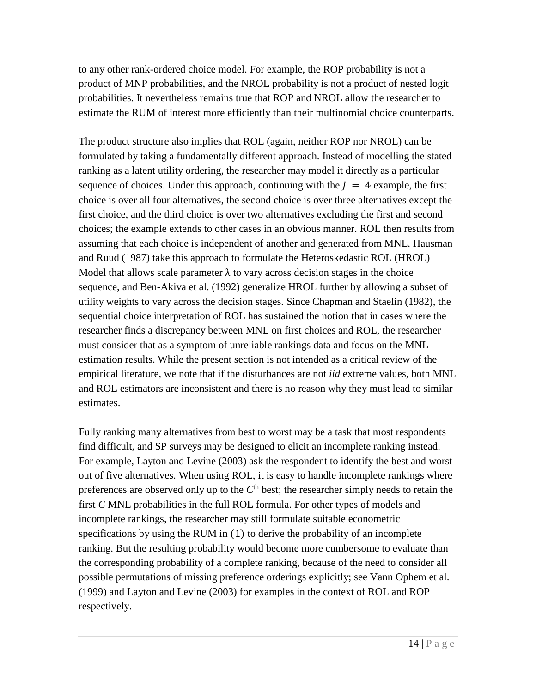to any other rank-ordered choice model. For example, the ROP probability is not a product of MNP probabilities, and the NROL probability is not a product of nested logit probabilities. It nevertheless remains true that ROP and NROL allow the researcher to estimate the RUM of interest more efficiently than their multinomial choice counterparts.

The product structure also implies that ROL (again, neither ROP nor NROL) can be formulated by taking a fundamentally different approach. Instead of modelling the stated ranking as a latent utility ordering, the researcher may model it directly as a particular sequence of choices. Under this approach, continuing with the  $I = 4$  example, the first choice is over all four alternatives, the second choice is over three alternatives except the first choice, and the third choice is over two alternatives excluding the first and second choices; the example extends to other cases in an obvious manner. ROL then results from assuming that each choice is independent of another and generated from MNL. Hausman and Ruud (1987) take this approach to formulate the Heteroskedastic ROL (HROL) Model that allows scale parameter  $\lambda$  to vary across decision stages in the choice sequence, and Ben-Akiva et al. (1992) generalize HROL further by allowing a subset of utility weights to vary across the decision stages. Since Chapman and Staelin (1982), the sequential choice interpretation of ROL has sustained the notion that in cases where the researcher finds a discrepancy between MNL on first choices and ROL, the researcher must consider that as a symptom of unreliable rankings data and focus on the MNL estimation results. While the present section is not intended as a critical review of the empirical literature, we note that if the disturbances are not *iid* extreme values, both MNL and ROL estimators are inconsistent and there is no reason why they must lead to similar estimates.

Fully ranking many alternatives from best to worst may be a task that most respondents find difficult, and SP surveys may be designed to elicit an incomplete ranking instead. For example, Layton and Levine (2003) ask the respondent to identify the best and worst out of five alternatives. When using ROL, it is easy to handle incomplete rankings where preferences are observed only up to the  $C<sup>th</sup>$  best; the researcher simply needs to retain the first *C* MNL probabilities in the full ROL formula. For other types of models and incomplete rankings, the researcher may still formulate suitable econometric specifications by using the RUM in (1) to derive the probability of an incomplete ranking. But the resulting probability would become more cumbersome to evaluate than the corresponding probability of a complete ranking, because of the need to consider all possible permutations of missing preference orderings explicitly; see Vann Ophem et al. (1999) and Layton and Levine (2003) for examples in the context of ROL and ROP respectively.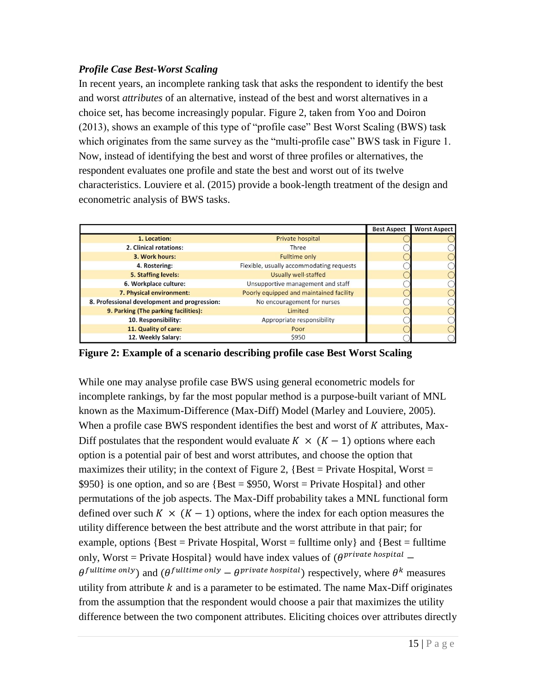# *Profile Case Best-Worst Scaling*

In recent years, an incomplete ranking task that asks the respondent to identify the best and worst *attributes* of an alternative, instead of the best and worst alternatives in a choice set, has become increasingly popular. Figure 2, taken from Yoo and Doiron (2013), shows an example of this type of "profile case" Best Worst Scaling (BWS) task which originates from the same survey as the "multi-profile case" BWS task in Figure 1. Now, instead of identifying the best and worst of three profiles or alternatives, the respondent evaluates one profile and state the best and worst out of its twelve characteristics. Louviere et al. (2015) provide a book-length treatment of the design and econometric analysis of BWS tasks.

|                                              |                                          | <b>Best Aspect</b> | <b>Worst Aspect</b> |
|----------------------------------------------|------------------------------------------|--------------------|---------------------|
| 1. Location:                                 | Private hospital                         |                    |                     |
| 2. Clinical rotations:                       | Three                                    |                    |                     |
| 3. Work hours:                               | <b>Fulltime only</b>                     |                    |                     |
| 4. Rostering:                                | Flexible, usually accommodating requests |                    |                     |
| 5. Staffing levels:                          | Usually well-staffed                     |                    |                     |
| 6. Workplace culture:                        | Unsupportive management and staff        |                    |                     |
| 7. Physical environment:                     | Poorly equipped and maintained facility  |                    |                     |
| 8. Professional development and progression: | No encouragement for nurses              |                    |                     |
| 9. Parking (The parking facilities):         | Limited                                  |                    |                     |
| 10. Responsibility:                          | Appropriate responsibility               |                    |                     |
| 11. Quality of care:                         | Poor                                     |                    |                     |
| 12. Weekly Salary:                           | \$950                                    |                    |                     |

**Figure 2: Example of a scenario describing profile case Best Worst Scaling**

While one may analyse profile case BWS using general econometric models for incomplete rankings, by far the most popular method is a purpose-built variant of MNL known as the Maximum-Difference (Max-Diff) Model (Marley and Louviere, 2005). When a profile case BWS respondent identifies the best and worst of  $K$  attributes, Max-Diff postulates that the respondent would evaluate  $K \times (K - 1)$  options where each option is a potential pair of best and worst attributes, and choose the option that maximizes their utility; in the context of Figure 2,  $\{Best = Private Hospital,$  $$950$ } is one option, and so are {Best = \$950, Worst = Private Hospital} and other permutations of the job aspects. The Max-Diff probability takes a MNL functional form defined over such  $K \times (K - 1)$  options, where the index for each option measures the utility difference between the best attribute and the worst attribute in that pair; for example, options  ${Best = Private Hospital, Worst = fulltime only}$  and  ${Best = fulltime}$ only, Worst = Private Hospital} would have index values of  $(\theta^{private\; hospital}$  –  $\theta^{full time \text{ only}}$  and  $(\theta^{full time \text{ only}} - \theta^{private \text{ hospital}})$  respectively, where  $\theta^k$  measures utility from attribute  $k$  and is a parameter to be estimated. The name Max-Diff originates from the assumption that the respondent would choose a pair that maximizes the utility difference between the two component attributes. Eliciting choices over attributes directly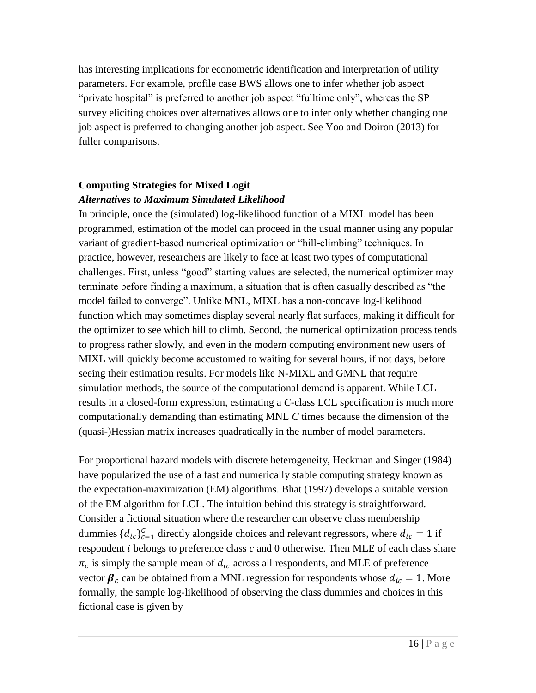has interesting implications for econometric identification and interpretation of utility parameters. For example, profile case BWS allows one to infer whether job aspect "private hospital" is preferred to another job aspect "fulltime only", whereas the SP survey eliciting choices over alternatives allows one to infer only whether changing one job aspect is preferred to changing another job aspect. See Yoo and Doiron (2013) for fuller comparisons.

# **Computing Strategies for Mixed Logit**  *Alternatives to Maximum Simulated Likelihood*

In principle, once the (simulated) log-likelihood function of a MIXL model has been programmed, estimation of the model can proceed in the usual manner using any popular variant of gradient-based numerical optimization or "hill-climbing" techniques. In practice, however, researchers are likely to face at least two types of computational challenges. First, unless "good" starting values are selected, the numerical optimizer may terminate before finding a maximum, a situation that is often casually described as "the model failed to converge". Unlike MNL, MIXL has a non-concave log-likelihood function which may sometimes display several nearly flat surfaces, making it difficult for the optimizer to see which hill to climb. Second, the numerical optimization process tends to progress rather slowly, and even in the modern computing environment new users of MIXL will quickly become accustomed to waiting for several hours, if not days, before seeing their estimation results. For models like N-MIXL and GMNL that require simulation methods, the source of the computational demand is apparent. While LCL results in a closed-form expression, estimating a *C*-class LCL specification is much more computationally demanding than estimating MNL *C* times because the dimension of the (quasi-)Hessian matrix increases quadratically in the number of model parameters.

For proportional hazard models with discrete heterogeneity, Heckman and Singer (1984) have popularized the use of a fast and numerically stable computing strategy known as the expectation-maximization (EM) algorithms. Bhat (1997) develops a suitable version of the EM algorithm for LCL. The intuition behind this strategy is straightforward. Consider a fictional situation where the researcher can observe class membership dummies  ${d_{ic}}_{c=1}^c$  directly alongside choices and relevant regressors, where  $d_{ic} = 1$  if respondent  $i$  belongs to preference class  $c$  and  $0$  otherwise. Then MLE of each class share  $\pi_c$  is simply the sample mean of  $d_{ic}$  across all respondents, and MLE of preference vector  $\beta_c$  can be obtained from a MNL regression for respondents whose  $d_{ic} = 1$ . More formally, the sample log-likelihood of observing the class dummies and choices in this fictional case is given by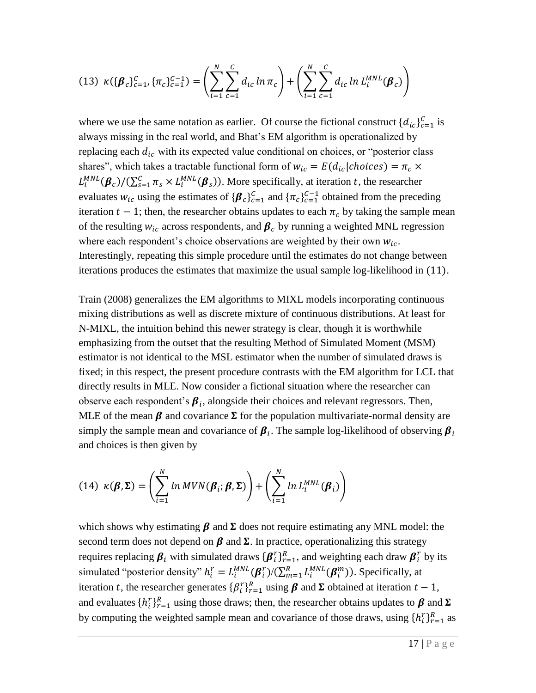$$
(13) \ \kappa(\{\boldsymbol{\beta}_c\}_{c=1}^C, \{\pi_c\}_{c=1}^{C-1}) = \left(\sum_{i=1}^N \sum_{c=1}^C d_{ic} \ln \pi_c\right) + \left(\sum_{i=1}^N \sum_{c=1}^C d_{ic} \ln L_i^{MNL}(\boldsymbol{\beta}_c)\right)
$$

where we use the same notation as earlier. Of course the fictional construct  $\{d_{ic}\}_{c=1}^{C}$  is always missing in the real world, and Bhat's EM algorithm is operationalized by replacing each  $d_{ic}$  with its expected value conditional on choices, or "posterior class shares", which takes a tractable functional form of  $w_{ic} = E(d_{ic} | choices) = \pi_c \times$  $L_i^{MNL}(\beta_c)/(\sum_{s=1}^C \pi_s \times L_i^{MNL}(\beta_s))$ . More specifically, at iteration t, the researcher evaluates  $w_{ic}$  using the estimates of  $\{\beta_c\}_{c=1}^C$  and  $\{\pi_c\}_{c=1}^{C-1}$  obtained from the preceding iteration  $t - 1$ ; then, the researcher obtains updates to each  $\pi_c$  by taking the sample mean of the resulting  $w_{ic}$  across respondents, and  $\beta_c$  by running a weighted MNL regression where each respondent's choice observations are weighted by their own  $w_{ic}$ . Interestingly, repeating this simple procedure until the estimates do not change between iterations produces the estimates that maximize the usual sample log-likelihood in (11).

Train (2008) generalizes the EM algorithms to MIXL models incorporating continuous mixing distributions as well as discrete mixture of continuous distributions. At least for N-MIXL, the intuition behind this newer strategy is clear, though it is worthwhile emphasizing from the outset that the resulting Method of Simulated Moment (MSM) estimator is not identical to the MSL estimator when the number of simulated draws is fixed; in this respect, the present procedure contrasts with the EM algorithm for LCL that directly results in MLE. Now consider a fictional situation where the researcher can observe each respondent's  $\beta_i$ , alongside their choices and relevant regressors. Then, MLE of the mean  $\beta$  and covariance  $\Sigma$  for the population multivariate-normal density are simply the sample mean and covariance of  $\beta_i$ . The sample log-likelihood of observing  $\beta_i$ and choices is then given by

(14) 
$$
\kappa(\boldsymbol{\beta}, \boldsymbol{\Sigma}) = \left(\sum_{i=1}^{N} ln MVN(\boldsymbol{\beta}_i; \boldsymbol{\beta}, \boldsymbol{\Sigma})\right) + \left(\sum_{i=1}^{N} ln L_i^{MNL}(\boldsymbol{\beta}_i)\right)
$$

which shows why estimating  $\beta$  and  $\Sigma$  does not require estimating any MNL model: the second term does not depend on  $\beta$  and  $\Sigma$ . In practice, operationalizing this strategy requires replacing  $\beta_i$  with simulated draws  $\{\beta_i^r\}_{r=1}^R$ , and weighting each draw  $\beta_i^r$  by its simulated "posterior density"  $h_i^r = L_i^{MNL}(\beta_i^r) / (\sum_{m=1}^R L_i^{MNL}(\beta_i^m))$ . Specifically, at iteration t, the researcher generates  $\{\beta_i^r\}_{r=1}^R$  using  $\beta$  and  $\Sigma$  obtained at iteration  $t-1$ , and evaluates  $\{h_i^r\}_{r=1}^R$  using those draws; then, the researcher obtains updates to  $\beta$  and  $\Sigma$ by computing the weighted sample mean and covariance of those draws, using  $\{h_i^r\}_{r=1}^R$  as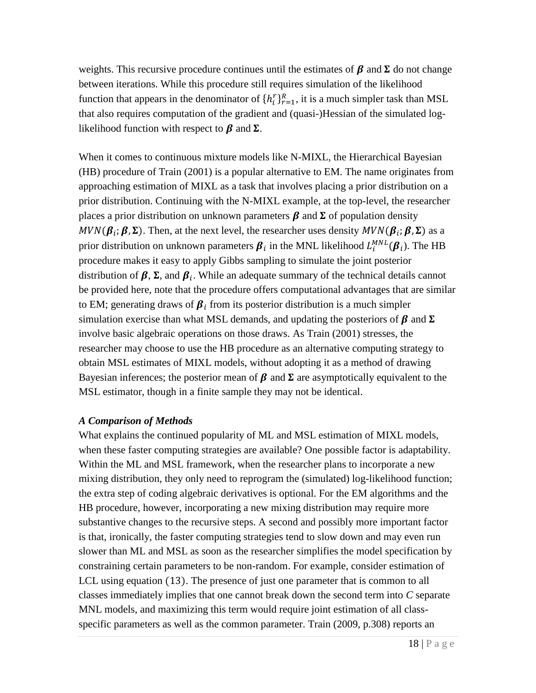weights. This recursive procedure continues until the estimates of  $\beta$  and  $\Sigma$  do not change between iterations. While this procedure still requires simulation of the likelihood function that appears in the denominator of  $\{h_i^r\}_{r=1}^R$ , it is a much simpler task than MSL that also requires computation of the gradient and (quasi-)Hessian of the simulated loglikelihood function with respect to  $\beta$  and  $\Sigma$ .

When it comes to continuous mixture models like N-MIXL, the Hierarchical Bayesian (HB) procedure of Train (2001) is a popular alternative to EM. The name originates from approaching estimation of MIXL as a task that involves placing a prior distribution on a prior distribution. Continuing with the N-MIXL example, at the top-level, the researcher places a prior distribution on unknown parameters  $\beta$  and  $\Sigma$  of population density  $MVN(\beta_i; \beta, \Sigma)$ . Then, at the next level, the researcher uses density  $MVN(\beta_i; \beta, \Sigma)$  as a prior distribution on unknown parameters  $\beta_i$  in the MNL likelihood  $L_i^{MNL}(\beta_i)$ . The HB procedure makes it easy to apply Gibbs sampling to simulate the joint posterior distribution of  $\beta$ ,  $\Sigma$ , and  $\beta$ <sub>i</sub>. While an adequate summary of the technical details cannot be provided here, note that the procedure offers computational advantages that are similar to EM; generating draws of  $\beta_i$  from its posterior distribution is a much simpler simulation exercise than what MSL demands, and updating the posteriors of  $\beta$  and  $\Sigma$ involve basic algebraic operations on those draws. As Train (2001) stresses, the researcher may choose to use the HB procedure as an alternative computing strategy to obtain MSL estimates of MIXL models, without adopting it as a method of drawing Bayesian inferences; the posterior mean of  $\beta$  and  $\Sigma$  are asymptotically equivalent to the MSL estimator, though in a finite sample they may not be identical.

# *A Comparison of Methods*

What explains the continued popularity of ML and MSL estimation of MIXL models, when these faster computing strategies are available? One possible factor is adaptability. Within the ML and MSL framework, when the researcher plans to incorporate a new mixing distribution, they only need to reprogram the (simulated) log-likelihood function; the extra step of coding algebraic derivatives is optional. For the EM algorithms and the HB procedure, however, incorporating a new mixing distribution may require more substantive changes to the recursive steps. A second and possibly more important factor is that, ironically, the faster computing strategies tend to slow down and may even run slower than ML and MSL as soon as the researcher simplifies the model specification by constraining certain parameters to be non-random. For example, consider estimation of LCL using equation (13). The presence of just one parameter that is common to all classes immediately implies that one cannot break down the second term into *C* separate MNL models, and maximizing this term would require joint estimation of all classspecific parameters as well as the common parameter. Train (2009, p.308) reports an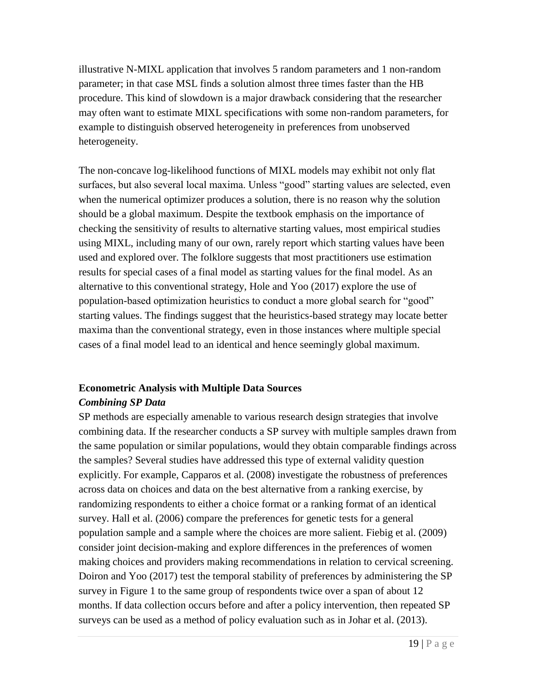illustrative N-MIXL application that involves 5 random parameters and 1 non-random parameter; in that case MSL finds a solution almost three times faster than the HB procedure. This kind of slowdown is a major drawback considering that the researcher may often want to estimate MIXL specifications with some non-random parameters, for example to distinguish observed heterogeneity in preferences from unobserved heterogeneity.

The non-concave log-likelihood functions of MIXL models may exhibit not only flat surfaces, but also several local maxima. Unless "good" starting values are selected, even when the numerical optimizer produces a solution, there is no reason why the solution should be a global maximum. Despite the textbook emphasis on the importance of checking the sensitivity of results to alternative starting values, most empirical studies using MIXL, including many of our own, rarely report which starting values have been used and explored over. The folklore suggests that most practitioners use estimation results for special cases of a final model as starting values for the final model. As an alternative to this conventional strategy, Hole and Yoo (2017) explore the use of population-based optimization heuristics to conduct a more global search for "good" starting values. The findings suggest that the heuristics-based strategy may locate better maxima than the conventional strategy, even in those instances where multiple special cases of a final model lead to an identical and hence seemingly global maximum.

# **Econometric Analysis with Multiple Data Sources**

# *Combining SP Data*

SP methods are especially amenable to various research design strategies that involve combining data. If the researcher conducts a SP survey with multiple samples drawn from the same population or similar populations, would they obtain comparable findings across the samples? Several studies have addressed this type of external validity question explicitly. For example, Capparos et al. (2008) investigate the robustness of preferences across data on choices and data on the best alternative from a ranking exercise, by randomizing respondents to either a choice format or a ranking format of an identical survey. Hall et al. (2006) compare the preferences for genetic tests for a general population sample and a sample where the choices are more salient. Fiebig et al. (2009) consider joint decision-making and explore differences in the preferences of women making choices and providers making recommendations in relation to cervical screening. Doiron and Yoo (2017) test the temporal stability of preferences by administering the SP survey in Figure 1 to the same group of respondents twice over a span of about 12 months. If data collection occurs before and after a policy intervention, then repeated SP surveys can be used as a method of policy evaluation such as in Johar et al. (2013).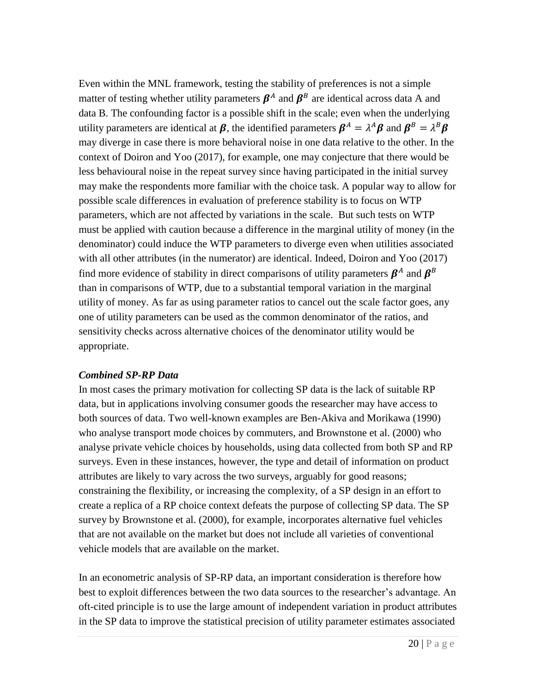Even within the MNL framework, testing the stability of preferences is not a simple matter of testing whether utility parameters  $\beta^A$  and  $\beta^B$  are identical across data A and data B. The confounding factor is a possible shift in the scale; even when the underlying utility parameters are identical at  $\beta$ , the identified parameters  $\beta^A = \lambda^A \beta$  and  $\beta^B = \lambda^B \beta$ may diverge in case there is more behavioral noise in one data relative to the other. In the context of Doiron and Yoo (2017), for example, one may conjecture that there would be less behavioural noise in the repeat survey since having participated in the initial survey may make the respondents more familiar with the choice task. A popular way to allow for possible scale differences in evaluation of preference stability is to focus on WTP parameters, which are not affected by variations in the scale. But such tests on WTP must be applied with caution because a difference in the marginal utility of money (in the denominator) could induce the WTP parameters to diverge even when utilities associated with all other attributes (in the numerator) are identical. Indeed, Doiron and Yoo (2017) find more evidence of stability in direct comparisons of utility parameters  $\beta^A$  and  $\beta^B$ than in comparisons of WTP, due to a substantial temporal variation in the marginal utility of money. As far as using parameter ratios to cancel out the scale factor goes, any one of utility parameters can be used as the common denominator of the ratios, and sensitivity checks across alternative choices of the denominator utility would be appropriate.

### *Combined SP-RP Data*

In most cases the primary motivation for collecting SP data is the lack of suitable RP data, but in applications involving consumer goods the researcher may have access to both sources of data. Two well-known examples are Ben-Akiva and Morikawa (1990) who analyse transport mode choices by commuters, and Brownstone et al. (2000) who analyse private vehicle choices by households, using data collected from both SP and RP surveys. Even in these instances, however, the type and detail of information on product attributes are likely to vary across the two surveys, arguably for good reasons; constraining the flexibility, or increasing the complexity, of a SP design in an effort to create a replica of a RP choice context defeats the purpose of collecting SP data. The SP survey by Brownstone et al. (2000), for example, incorporates alternative fuel vehicles that are not available on the market but does not include all varieties of conventional vehicle models that are available on the market.

In an econometric analysis of SP-RP data, an important consideration is therefore how best to exploit differences between the two data sources to the researcher's advantage. An oft-cited principle is to use the large amount of independent variation in product attributes in the SP data to improve the statistical precision of utility parameter estimates associated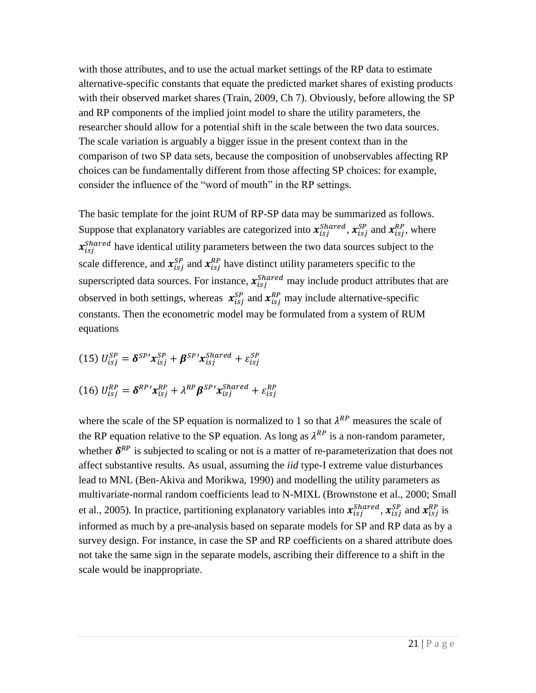with those attributes, and to use the actual market settings of the RP data to estimate alternative-specific constants that equate the predicted market shares of existing products with their observed market shares (Train, 2009, Ch 7). Obviously, before allowing the SP and RP components of the implied joint model to share the utility parameters, the researcher should allow for a potential shift in the scale between the two data sources. The scale variation is arguably a bigger issue in the present context than in the comparison of two SP data sets, because the composition of unobservables affecting RP choices can be fundamentally different from those affecting SP choices: for example, consider the influence of the "word of mouth" in the RP settings.

The basic template for the joint RUM of RP-SP data may be summarized as follows. Suppose that explanatory variables are categorized into  $x_{isj}^{shared}$ ,  $x_{isj}^{SP}$  and  $x_{isj}^{RP}$ , where  $x_{isj}^{shared}$  have identical utility parameters between the two data sources subject to the scale difference, and  $\mathbf{x}_{isj}^{SP}$  and  $\mathbf{x}_{isj}^{RP}$  have distinct utility parameters specific to the superscripted data sources. For instance,  $x_{isj}^{shared}$  may include product attributes that are observed in both settings, whereas  $x_{isj}^{SP}$  and  $x_{isj}^{RP}$  may include alternative-specific constants. Then the econometric model may be formulated from a system of RUM equations

(15) 
$$
U_{isj}^{SP} = \delta^{SP'} x_{isj}^{SP} + \beta^{SP'} x_{isj}^{Shared} + \varepsilon_{isj}^{SP}
$$
  
(16) 
$$
U_{isj}^{RP} = \delta^{RP'} x_{isj}^{RP} + \lambda^{RP} \beta^{SP'} x_{isj}^{Shared} + \varepsilon_{isj}^{RP}
$$

where the scale of the SP equation is normalized to 1 so that  $\lambda^{RP}$  measures the scale of the RP equation relative to the SP equation. As long as  $\lambda^{RP}$  is a non-random parameter, whether  $\delta^{RP}$  is subjected to scaling or not is a matter of re-parameterization that does not affect substantive results. As usual, assuming the *iid* type-I extreme value disturbances lead to MNL (Ben-Akiva and Morikwa, 1990) and modelling the utility parameters as multivariate-normal random coefficients lead to N-MIXL (Brownstone et al., 2000; Small et al., 2005). In practice, partitioning explanatory variables into  $x_{isj}^{shared}$ ,  $x_{isj}^{SP}$  and  $x_{isj}^{RP}$  is informed as much by a pre-analysis based on separate models for SP and RP data as by a survey design. For instance, in case the SP and RP coefficients on a shared attribute does not take the same sign in the separate models, ascribing their difference to a shift in the scale would be inappropriate.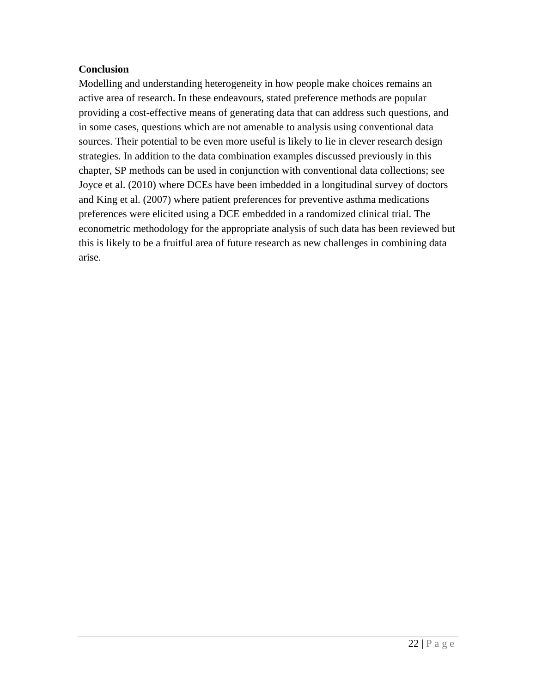# **Conclusion**

Modelling and understanding heterogeneity in how people make choices remains an active area of research. In these endeavours, stated preference methods are popular providing a cost-effective means of generating data that can address such questions, and in some cases, questions which are not amenable to analysis using conventional data sources. Their potential to be even more useful is likely to lie in clever research design strategies. In addition to the data combination examples discussed previously in this chapter, SP methods can be used in conjunction with conventional data collections; see Joyce et al. (2010) where DCEs have been imbedded in a longitudinal survey of doctors and King et al. (2007) where patient preferences for preventive asthma medications preferences were elicited using a DCE embedded in a randomized clinical trial. The econometric methodology for the appropriate analysis of such data has been reviewed but this is likely to be a fruitful area of future research as new challenges in combining data arise.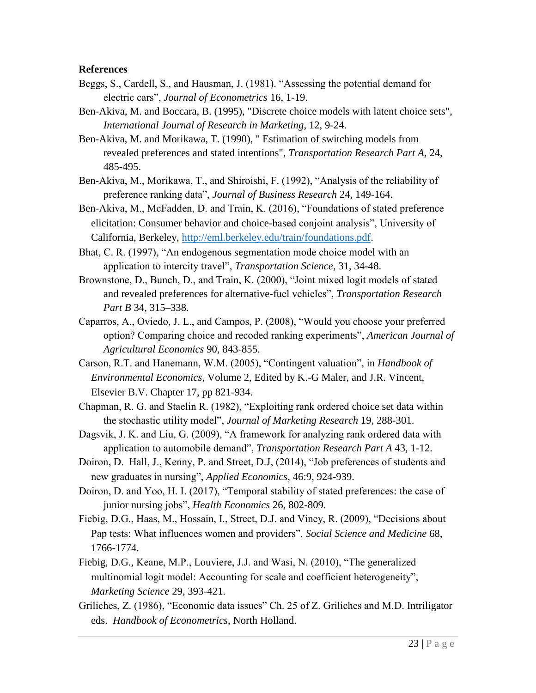### **References**

- Beggs, S., Cardell, S., and Hausman, J. (1981). "Assessing the potential demand for electric cars", *Journal of Econometrics* 16, 1-19.
- Ben-Akiva, M. and Boccara, B. (1995), "Discrete choice models with latent choice sets", *International Journal of Research in Marketing*, 12, 9-24.
- Ben-Akiva, M. and Morikawa, T. (1990), " Estimation of switching models from revealed preferences and stated intentions", *Transportation Research Part A*, 24, 485-495.
- Ben-Akiva, M., Morikawa, T., and Shiroishi, F. (1992), "Analysis of the reliability of preference ranking data", *Journal of Business Research* 24, 149-164.
- Ben-Akiva, M., McFadden, D. and Train, K. (2016), "Foundations of stated preference elicitation: Consumer behavior and choice-based conjoint analysis", University of California, Berkeley, [http://eml.berkeley.edu/train/foundations.pdf.](http://eml.berkeley.edu/train/foundations.pdf)
- Bhat, C. R. (1997), "An endogenous segmentation mode choice model with an application to intercity travel", *Transportation Science*, 31, 34-48.
- Brownstone, D., Bunch, D., and Train, K. (2000), "Joint mixed logit models of stated and revealed preferences for alternative-fuel vehicles", *Transportation Research Part B* 34, 315–338.
- Caparros, A., Oviedo, J. L., and Campos, P. (2008), "Would you choose your preferred option? Comparing choice and recoded ranking experiments", *American Journal of Agricultural Economics* 90, 843-855.
- Carson, R.T. and Hanemann, W.M. (2005), "Contingent valuation", in *Handbook of Environmental Economics*, Volume 2, Edited by K.-G Maler, and J.R. Vincent, Elsevier B.V. Chapter 17, pp 821-934.
- Chapman, R. G. and Staelin R. (1982), "Exploiting rank ordered choice set data within the stochastic utility model", *Journal of Marketing Research* 19, 288-301.
- Dagsvik, J. K. and Liu, G. (2009), "A framework for analyzing rank ordered data with application to automobile demand", *Transportation Research Part A* 43, 1-12.
- Doiron, D. Hall, J., Kenny, P. and Street, D.J, (2014), "Job preferences of students and new graduates in nursing", *Applied Economics*, 46:9, 924-939.
- Doiron, D. and Yoo, H. I. (2017), "Temporal stability of stated preferences: the case of junior nursing jobs", *Health Economics* 26, 802-809.
- Fiebig, D.G., Haas, M., Hossain, I., Street, D.J. and Viney, R. (2009), "Decisions about Pap tests: What influences women and providers", *Social Science and Medicine* 68, 1766-1774.
- Fiebig, D.G., Keane, M.P., Louviere, J.J. and Wasi, N. (2010), "The generalized multinomial logit model: Accounting for scale and coefficient heterogeneity", *Marketing Science* 29, 393-421.
- Griliches, Z. (1986), "Economic data issues" Ch. 25 of Z. Griliches and M.D. Intriligator eds. *Handbook of Econometrics*, North Holland.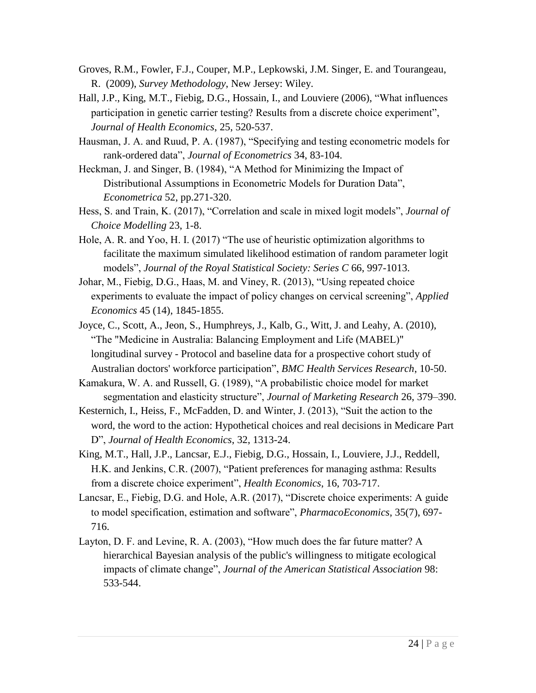- Groves, R.M., Fowler, F.J., Couper, M.P., Lepkowski, J.M. Singer, E. and Tourangeau, R. (2009), *Survey Methodology*, New Jersey: Wiley.
- Hall, J.P., King, M.T., Fiebig, D.G., Hossain, I., and Louviere (2006), "What influences participation in genetic carrier testing? Results from a discrete choice experiment", *Journal of Health Economics*, 25, 520-537.
- Hausman, J. A. and Ruud, P. A. (1987), "Specifying and testing econometric models for rank-ordered data", *Journal of Econometrics* 34, 83-104.
- Heckman, J. and Singer, B. (1984), "A Method for Minimizing the Impact of Distributional Assumptions in Econometric Models for Duration Data", *Econometrica* 52, pp.271-320.
- Hess, S. and Train, K. (2017), "Correlation and scale in mixed logit models", *Journal of Choice Modelling* 23, 1-8.
- Hole, A. R. and Yoo, H. I. (2017) "The use of heuristic optimization algorithms to facilitate the maximum simulated likelihood estimation of random parameter logit models", *Journal of the Royal Statistical Society: Series C* 66, 997-1013.
- Johar, M., Fiebig, D.G., Haas, M. and Viney, R. (2013), "Using repeated choice experiments to evaluate the impact of policy changes on cervical screening", *Applied Economics* 45 (14), 1845-1855.
- Joyce, C., Scott, A., Jeon, S., Humphreys, J., Kalb, G., Witt, J. and Leahy, A. (2010), "The "Medicine in Australia: Balancing Employment and Life (MABEL)" longitudinal survey - Protocol and baseline data for a prospective cohort study of Australian doctors' workforce participation", *BMC Health Services Research*, 10-50.
- Kamakura, W. A. and Russell, G. (1989), "A probabilistic choice model for market segmentation and elasticity structure", *Journal of Marketing Research* 26, 379–390.
- Kesternich, I., Heiss, F., McFadden, D. and Winter, J. (2013), "Suit the action to the word, the word to the action: Hypothetical choices and real decisions in Medicare Part D", *Journal of Health Economics*, 32, 1313-24.
- King, M.T., Hall, J.P., Lancsar, E.J., Fiebig, D.G., Hossain, I., Louviere, J.J., Reddell, H.K. and Jenkins, C.R. (2007), "Patient preferences for managing asthma: Results from a discrete choice experiment", *Health Economics*, 16, 703-717.
- Lancsar, E., Fiebig, D.G. and Hole, A.R. (2017), "Discrete choice experiments: A guide to model specification, estimation and software", *PharmacoEconomics*, 35(7), 697- 716.
- Layton, D. F. and Levine, R. A. (2003), "How much does the far future matter? A hierarchical Bayesian analysis of the public's willingness to mitigate ecological impacts of climate change", *Journal of the American Statistical Association* 98: 533-544.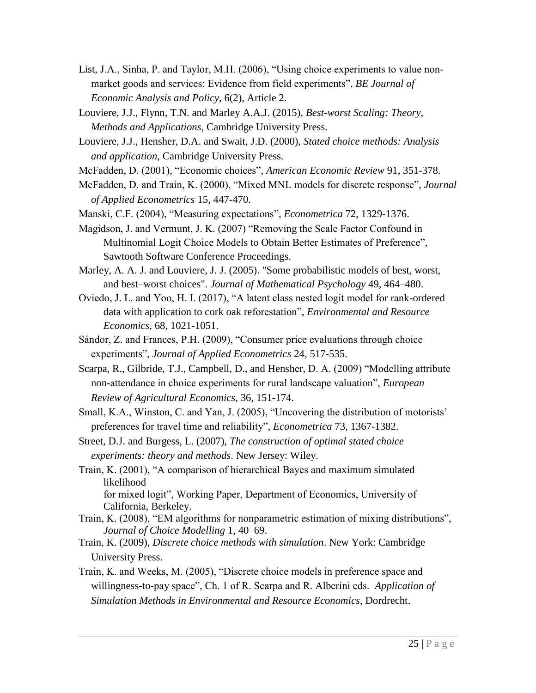- List, J.A., Sinha, P. and Taylor, M.H. (2006), "Using choice experiments to value nonmarket goods and services: Evidence from field experiments", *BE Journal of Economic Analysis and Policy*, 6(2), Article 2.
- Louviere, J.J., Flynn, T.N. and Marley A.A.J. (2015), *Best-worst Scaling: Theory, Methods and Applications*, Cambridge University Press.
- Louviere, J.J., Hensher, D.A. and Swait, J.D. (2000), *Stated choice methods: Analysis and application*, Cambridge University Press.
- McFadden, D. (2001), "Economic choices", *American Economic Review* 91, 351-378.
- McFadden, D. and Train, K. (2000), "Mixed MNL models for discrete response", *Journal of Applied Econometrics* 15, 447-470.
- Manski, C.F. (2004), "Measuring expectations", *Econometrica* 72, 1329-1376.
- Magidson, J. and Vermunt, J. K. (2007) "Removing the Scale Factor Confound in Multinomial Logit Choice Models to Obtain Better Estimates of Preference", Sawtooth Software Conference Proceedings.
- Marley, A. A. J. and Louviere, J. J. (2005). "Some probabilistic models of best, worst, and best–worst choices". *Journal of Mathematical Psychology* 49, 464–480.
- Oviedo, J. L. and Yoo, H. I. (2017), "A latent class nested logit model for rank-ordered data with application to cork oak reforestation", *Environmental and Resource Economics*, 68, 1021-1051.
- Sándor, Z. and Frances, P.H. (2009), "Consumer price evaluations through choice experiments", *Journal of Applied Econometrics* 24, 517-535.
- Scarpa, R., Gilbride, T.J., Campbell, D., and Hensher, D. A. (2009) "Modelling attribute non-attendance in choice experiments for rural landscape valuation", *European Review of Agricultural Economics*, 36, 151-174.
- Small, K.A., Winston, C. and Yan, J. (2005), "Uncovering the distribution of motorists' preferences for travel time and reliability", *Econometrica* 73, 1367-1382.
- Street, D.J. and Burgess, L. (2007), *The construction of optimal stated choice experiments: theory and methods*. New Jersey: Wiley.
- Train, K. (2001), "A comparison of hierarchical Bayes and maximum simulated likelihood for mixed logit", Working Paper, Department of Economics, University of California, Berkeley.
- Train, K. (2008), "EM algorithms for nonparametric estimation of mixing distributions", *Journal of Choice Modelling* 1, 40–69.
- Train, K. (2009), *Discrete choice methods with simulation*. New York: Cambridge University Press.
- Train, K. and Weeks, M. (2005), "Discrete choice models in preference space and willingness-to-pay space", Ch. 1 of R. Scarpa and R. Alberini eds. *Application of Simulation Methods in Environmental and Resource Economics*, Dordrecht.